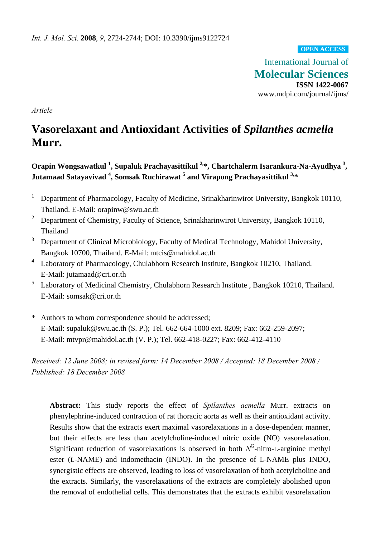#### **OPEN ACCESS**

International Journal of **Molecular Sciences ISSN 1422-0067**  www.mdpi.com/journal/ijms/

*Article* 

# **Vasorelaxant and Antioxidant Activities of** *Spilanthes acmella* **Murr.**

Orapin Wongsawatkul <sup>1</sup>, Supaluk Prachayasittikul <sup>2,\*</sup>, Chartchalerm Isarankura-Na-Ayudhya <sup>3</sup>, **Jutamaad Satayavivad <sup>4</sup> , Somsak Ruchirawat <sup>5</sup> and Virapong Prachayasittikul 3,\***

- 1 Department of Pharmacology, Faculty of Medicine, Srinakharinwirot University, Bangkok 10110, Thailand. E-Mail: orapinw@swu.ac.th
- <sup>2</sup> Department of Chemistry, Faculty of Science, Srinakharinwirot University, Bangkok 10110, Thailand
- 3 Department of Clinical Microbiology, Faculty of Medical Technology, Mahidol University, Bangkok 10700, Thailand. E-Mail: mtcis@mahidol.ac.th
- 4 Laboratory of Pharmacology, Chulabhorn Research Institute, Bangkok 10210, Thailand. E-Mail: jutamaad@cri.or.th
- 5 Laboratory of Medicinal Chemistry, Chulabhorn Research Institute , Bangkok 10210, Thailand. E-Mail: somsak@cri.or.th
- \* Authors to whom correspondence should be addressed; E-Mail: supaluk@swu.ac.th (S. P.); Tel. 662-664-1000 ext. 8209; Fax: 662-259-2097; E-Mail: mtvpr@mahidol.ac.th (V. P.); Tel. 662-418-0227; Fax: 662-412-4110

*Received: 12 June 2008; in revised form: 14 December 2008 / Accepted: 18 December 2008 / Published: 18 December 2008* 

**Abstract:** This study reports the effect of *Spilanthes acmella* Murr. extracts on phenylephrine-induced contraction of rat thoracic aorta as well as their antioxidant activity. Results show that the extracts exert maximal vasorelaxations in a dose-dependent manner, but their effects are less than acetylcholine-induced nitric oxide (NO) vasorelaxation. Significant reduction of vasorelaxations is observed in both  $N<sup>G</sup>$ -nitro-L-arginine methyl ester (L-NAME) and indomethacin (INDO). In the presence of L-NAME plus INDO, synergistic effects are observed, leading to loss of vasorelaxation of both acetylcholine and the extracts. Similarly, the vasorelaxations of the extracts are completely abolished upon the removal of endothelial cells. This demonstrates that the extracts exhibit vasorelaxation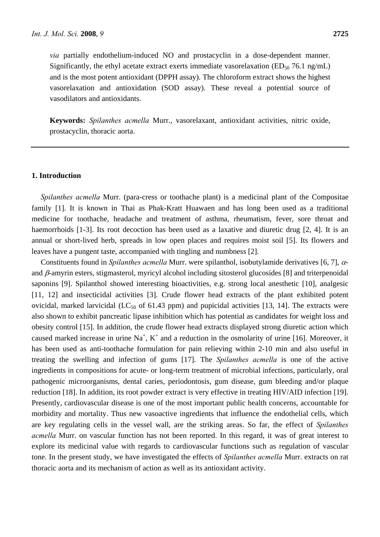*via* partially endothelium-induced NO and prostacyclin in a dose-dependent manner. Significantly, the ethyl acetate extract exerts immediate vasorelaxation ( $ED_{50}$  76.1 ng/mL) and is the most potent antioxidant (DPPH assay). The chloroform extract shows the highest

vasorelaxation and antioxidation (SOD assay). These reveal a potential source of vasodilators and antioxidants.

**Keywords:** *Spilanthes acmella* Murr., vasorelaxant, antioxidant activities, nitric oxide, prostacyclin, thoracic aorta.

#### **1. Introduction**

*Spilanthes acmella* Murr. (para-cress or toothache plant) is a medicinal plant of the Compositae family [1]. It is known in Thai as Phak-Kratt Huawaen and has long been used as a traditional medicine for toothache, headache and treatment of asthma, rheumatism, fever, sore throat and haemorrhoids [1-3]. Its root decoction has been used as a laxative and diuretic drug [2, 4]. It is an annual or short-lived herb, spreads in low open places and requires moist soil [5]. Its flowers and leaves have a pungent taste, accompanied with tingling and numbness [2].

Constituents found in *Spilanthes acmella* Murr. were spilanthol, isobutylamide derivatives [6, 7], αand β-amyrin esters, stigmasterol, myricyl alcohol including sitosterol glucosides [8] and triterpenoidal saponins [9]. Spilanthol showed interesting bioactivities, e.g. strong local anesthetic [10], analgesic [11, 12] and insecticidal activities [3]. Crude flower head extracts of the plant exhibited potent ovicidal, marked larvicidal (LC<sub>50</sub> of 61.43 ppm) and pupicidal activities [13, 14]. The extracts were also shown to exhibit pancreatic lipase inhibition which has potential as candidates for weight loss and obesity control [15]. In addition, the crude flower head extracts displayed strong diuretic action which caused marked increase in urine  $Na^+$ ,  $K^+$  and a reduction in the osmolarity of urine [16]. Moreover, it has been used as anti-toothache formulation for pain relieving within 2-10 min and also useful in treating the swelling and infection of gums [17]. The *Spilanthes acmella* is one of the active ingredients in compositions for acute- or long-term treatment of microbial infections, particularly, oral pathogenic microorganisms, dental caries, periodontosis, gum disease, gum bleeding and/or plaque reduction [18]. In addition, its root powder extract is very effective in treating HIV/AID infection [19]. Presently, cardiovascular disease is one of the most important public health concerns, accountable for morbidity and mortality. Thus new vasoactive ingredients that influence the endothelial cells, which are key regulating cells in the vessel wall, are the striking areas. So far, the effect of *Spilanthes acmella* Murr. on vascular function has not been reported. In this regard, it was of great interest to explore its medicinal value with regards to cardiovascular functions such as regulation of vascular tone. In the present study, we have investigated the effects of *Spilanthes acmella* Murr. extracts on rat thoracic aorta and its mechanism of action as well as its antioxidant activity.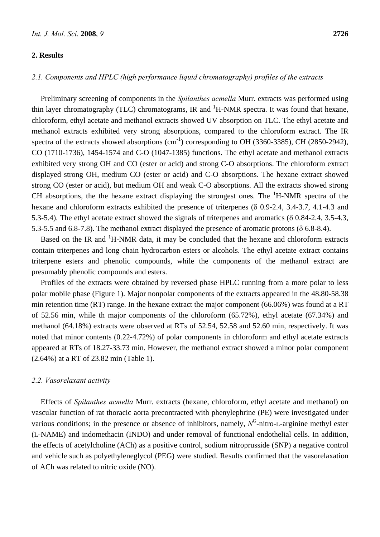# **2. Results**

# *2.1. Components and HPLC (high performance liquid chromatography) profiles of the extracts*

Preliminary screening of components in the *Spilanthes acmella* Murr. extracts was performed using thin layer chromatography (TLC) chromatograms, IR and  ${}^{1}$ H-NMR spectra. It was found that hexane, chloroform, ethyl acetate and methanol extracts showed UV absorption on TLC. The ethyl acetate and methanol extracts exhibited very strong absorptions, compared to the chloroform extract. The IR spectra of the extracts showed absorptions  $\text{cm}^{-1}$ ) corresponding to OH (3360-3385), CH (2850-2942), CO (1710-1736), 1454-1574 and C-O (1047-1385) functions. The ethyl acetate and methanol extracts exhibited very strong OH and CO (ester or acid) and strong C-O absorptions. The chloroform extract displayed strong OH, medium CO (ester or acid) and C-O absorptions. The hexane extract showed strong CO (ester or acid), but medium OH and weak C-O absorptions. All the extracts showed strong CH absorptions, the the hexane extract displaying the strongest ones. The  ${}^{1}$ H-NMR spectra of the hexane and chloroform extracts exhibited the presence of triterpenes (δ 0.9-2.4, 3.4-3.7, 4.1-4.3 and 5.3-5.4). The ethyl acetate extract showed the signals of triterpenes and aromatics (δ 0.84-2.4, 3.5-4.3, 5.3-5.5 and 6.8-7.8). The methanol extract displayed the presence of aromatic protons (δ 6.8-8.4).

Based on the IR and  ${}^{1}H$ -NMR data, it may be concluded that the hexane and chloroform extracts contain triterpenes and long chain hydrocarbon esters or alcohols. The ethyl acetate extract contains triterpene esters and phenolic compounds, while the components of the methanol extract are presumably phenolic compounds and esters.

Profiles of the extracts were obtained by reversed phase HPLC running from a more polar to less polar mobile phase (Figure 1). Major nonpolar components of the extracts appeared in the 48.80-58.38 min retention time (RT) range. In the hexane extract the major component (66.06%) was found at a RT of 52.56 min, while th major components of the chloroform (65.72%), ethyl acetate (67.34%) and methanol (64.18%) extracts were observed at RTs of 52.54, 52.58 and 52.60 min, respectively. It was noted that minor contents (0.22-4.72%) of polar components in chloroform and ethyl acetate extracts appeared at RTs of 18.27-33.73 min. However, the methanol extract showed a minor polar component (2.64%) at a RT of 23.82 min (Table 1).

## *2.2. Vasorelaxant activity*

Effects of *Spilanthes acmella* Murr. extracts (hexane, chloroform, ethyl acetate and methanol) on vascular function of rat thoracic aorta precontracted with phenylephrine (PE) were investigated under various conditions; in the presence or absence of inhibitors, namely,  $N<sup>G</sup>$ -nitro-L-arginine methyl ester (L-NAME) and indomethacin (INDO) and under removal of functional endothelial cells. In addition, the effects of acetylcholine (ACh) as a positive control, sodium nitroprusside (SNP) a negative control and vehicle such as polyethyleneglycol (PEG) were studied. Results confirmed that the vasorelaxation of ACh was related to nitric oxide (NO).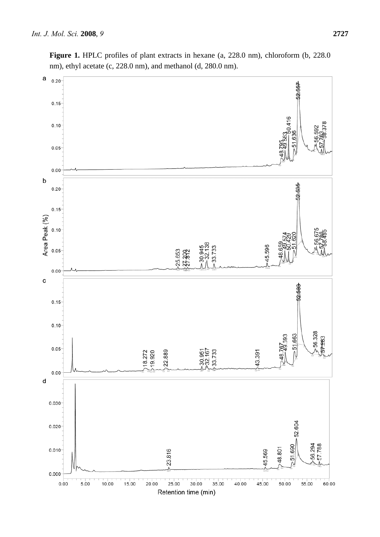

Figure 1. HPLC profiles of plant extracts in hexane (a, 228.0 nm), chloroform (b, 228.0 nm), ethyl acetate (c, 228.0 nm), and methanol (d, 280.0 nm).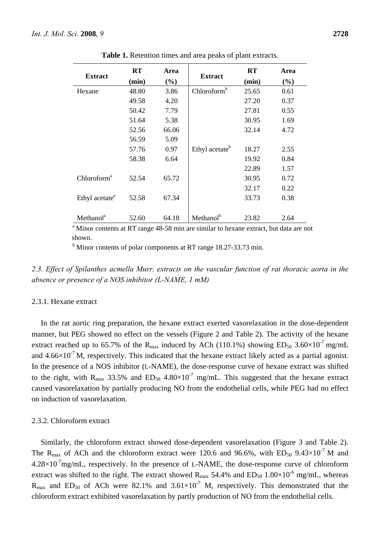|                            | RT                                | Area  |                            | <b>RT</b> | Area |
|----------------------------|-----------------------------------|-------|----------------------------|-----------|------|
| <b>Extract</b>             | <b>Extract</b><br>(min)<br>$(\%)$ |       |                            | (min)     | (%)  |
| Hexane                     | 48.80                             | 3.86  | Chloroform <sup>b</sup>    | 25.65     | 0.61 |
|                            | 49.58                             | 4.20  |                            | 27.20     | 0.37 |
|                            | 50.42                             | 7.79  |                            | 27.81     | 0.55 |
|                            | 51.64                             | 5.38  |                            | 30.95     | 1.69 |
|                            | 52.56                             | 66.06 |                            | 32.14     | 4.72 |
|                            | 56.59                             | 5.09  |                            |           |      |
|                            | 57.76                             | 0.97  | Ethyl acetate <sup>b</sup> | 18.27     | 2.55 |
|                            | 58.38                             | 6.64  |                            | 19.92     | 0.84 |
|                            |                                   |       |                            | 22.89     | 1.57 |
| Chloroform <sup>a</sup>    | 52.54                             | 65.72 |                            | 30.95     | 0.72 |
|                            |                                   |       |                            | 32.17     | 0.22 |
| Ethyl acetate <sup>a</sup> | 52.58                             | 67.34 |                            | 33.73     | 0.38 |
| Methanol <sup>a</sup>      | 52.60                             | 64.18 | Methanol <sup>b</sup>      | 23.82     | 2.64 |

**Table 1.** Retention times and area peaks of plant extracts.

shown.

<sup>b</sup> Minor contents of polar components at RT range 18.27-33.73 min.

*2.3. Effect of Spilanthes acmella Murr. extracts on the vascular function of rat thoracic aorta in the absence or presence of a NOS inhibitor (L-NAME, 1 mM)* 

#### 2.3.1. Hexane extract

In the rat aortic ring preparation, the hexane extract exerted vasorelaxation in the dose-dependent manner, but PEG showed no effect on the vessels (Figure 2 and Table 2). The activity of the hexane extract reached up to 65.7% of the R<sub>max</sub> induced by ACh (110.1%) showing  $ED_{50}$  3.60×10<sup>-7</sup> mg/mL and  $4.66\times10^{-7}$  M, respectively. This indicated that the hexane extract likely acted as a partial agonist. In the presence of a NOS inhibitor (L-NAME), the dose-response curve of hexane extract was shifted to the right, with R<sub>max</sub> 33.5% and ED<sub>50</sub> 4.80 $\times$ 10<sup>-7</sup> mg/mL. This suggested that the hexane extract caused vasorelaxation by partially producing NO from the endothelial cells, while PEG had no effect on induction of vasorelaxation.

#### 2.3.2. Chloroform extract

Similarly, the chloroform extract showed dose-dependent vasorelaxation (Figure 3 and Table 2). The R<sub>max</sub> of ACh and the chloroform extract were 120.6 and 96.6%, with ED<sub>50</sub> 9.43×10<sup>-7</sup> M and  $4.28\times10^{-7}$ mg/mL, respectively. In the presence of L-NAME, the dose-response curve of chloroform extract was shifted to the right. The extract showed  $R_{\text{max}}$  54.4% and  $ED_{50}$  1.00×10<sup>-6</sup> mg/mL, whereas  $R_{\text{max}}$  and ED<sub>50</sub> of ACh were 82.1% and 3.61×10<sup>-7</sup> M, respectively. This demonstrated that the chloroform extract exhibited vasorelaxation by partly production of NO from the endothelial cells.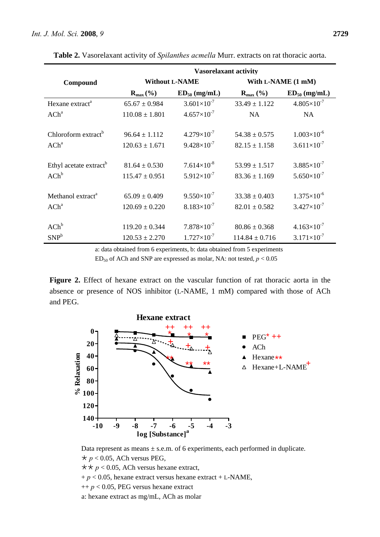|                                    | <b>Vasorelaxant activity</b> |                      |                         |                      |  |
|------------------------------------|------------------------------|----------------------|-------------------------|----------------------|--|
| Compound                           | <b>Without L-NAME</b>        |                      | With L-NAME (1 mM)      |                      |  |
|                                    | $\mathbf{R}_{\max}$ (%)      | $ED_{50}$ (mg/mL)    | $\mathbf{R}_{\max}$ (%) | $ED_{50}$ (mg/mL)    |  |
| Hexane extract <sup>a</sup>        | $65.67 \pm 0.984$            | $3.601\times10^{-7}$ | $33.49 \pm 1.122$       | $4.805\times10^{-7}$ |  |
| $ACh^a$                            | $110.08 \pm 1.801$           | $4.657\times10^{-7}$ | <b>NA</b>               | NA.                  |  |
|                                    |                              |                      |                         |                      |  |
| Chloroform extract <sup>b</sup>    | $96.64 \pm 1.112$            | $4.279\times10^{-7}$ | $54.38 \pm 0.575$       | $1.003\times10^{-6}$ |  |
| ACh <sup>a</sup>                   | $120.63 \pm 1.671$           | $9.428\times10^{-7}$ | $82.15 \pm 1.158$       | $3.611\times10^{-7}$ |  |
|                                    |                              |                      |                         |                      |  |
| Ethyl acetate extract <sup>b</sup> | $81.64 \pm 0.530$            | $7.614\times10^{-8}$ | $53.99 \pm 1.517$       | $3.885\times10^{-7}$ |  |
| $ACh^b$                            | $115.47 \pm 0.951$           | $5.912\times10^{-7}$ | $83.36 \pm 1.169$       | $5.650\times10^{-7}$ |  |
|                                    |                              |                      |                         |                      |  |
| Methanol extract <sup>a</sup>      | $65.09 \pm 0.409$            | $9.550\times10^{-7}$ | $33.38 \pm 0.403$       | $1.375\times10^{-6}$ |  |
| $ACh^a$                            | $120.69 \pm 0.220$           | $8.183\times10^{-7}$ | $82.01 \pm 0.582$       | $3.427\times10^{-7}$ |  |
|                                    |                              |                      |                         |                      |  |
| $ACh^b$                            | $119.20 \pm 0.344$           | $7.878\times10^{-7}$ | $80.86 \pm 0.368$       | $4.163\times10^{-7}$ |  |
| SNP <sup>b</sup>                   | $120.53 \pm 2.270$           | $1.727\times10^{-7}$ | $114.84 \pm 0.716$      | $3.171\times10^{-7}$ |  |

**Table 2.** Vasorelaxant activity of *Spilanthes acmella* Murr. extracts on rat thoracic aorta.

a: data obtained from 6 experiments, b: data obtained from 5 experiments

ED50 of ACh and SNP are expressed as molar, NA: not tested, *p* < 0.05

**Figure 2.** Effect of hexane extract on the vascular function of rat thoracic aorta in the absence or presence of NOS inhibitor (L-NAME, 1 mM) compared with those of ACh and PEG.



Data represent as means  $\pm$  s.e.m. of 6 experiments, each performed in duplicate.  $\star p$  < 0.05, ACh versus PEG,

 $\star \star p$  < 0.05, ACh versus hexane extract,

 $+ p < 0.05$ , hexane extract versus hexane extract  $+ L$ -NAME,

 $++ p < 0.05$ , PEG versus hexane extract

a: hexane extract as mg/mL, ACh as molar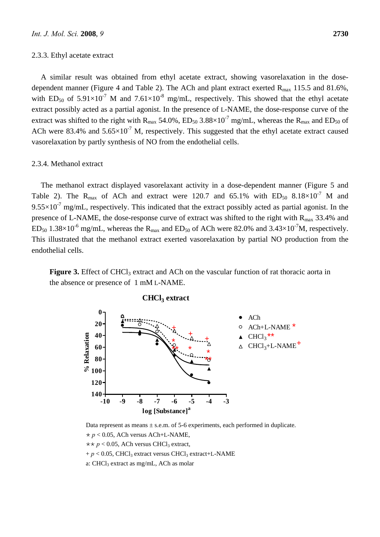#### 2.3.3. Ethyl acetate extract

A similar result was obtained from ethyl acetate extract, showing vasorelaxation in the dosedependent manner (Figure 4 and Table 2). The ACh and plant extract exerted  $R_{\text{max}}$  115.5 and 81.6%, with ED<sub>50</sub> of  $5.91\times10^{-7}$  M and  $7.61\times10^{-8}$  mg/mL, respectively. This showed that the ethyl acetate extract possibly acted as a partial agonist. In the presence of L-NAME, the dose-response curve of the extract was shifted to the right with  $R_{\text{max}}$  54.0%,  $ED_{50}$  3.88×10<sup>-7</sup> mg/mL, whereas the  $R_{\text{max}}$  and  $ED_{50}$  of ACh were 83.4% and  $5.65\times10^{-7}$  M, respectively. This suggested that the ethyl acetate extract caused vasorelaxation by partly synthesis of NO from the endothelial cells.

#### 2.3.4. Methanol extract

The methanol extract displayed vasorelaxant activity in a dose-dependent manner (Figure 5 and Table 2). The R<sub>max</sub> of ACh and extract were 120.7 and 65.1% with  $ED_{50}$  8.18×10<sup>-7</sup> M and  $9.55 \times 10^{-7}$  mg/mL, respectively. This indicated that the extract possibly acted as partial agonist. In the presence of L-NAME, the dose-response curve of extract was shifted to the right with  $R_{\text{max}}$  33.4% and  $ED_{50}$  1.38×10<sup>-6</sup> mg/mL, whereas the R<sub>max</sub> and  $ED_{50}$  of ACh were 82.0% and 3.43×10<sup>-7</sup>M, respectively. This illustrated that the methanol extract exerted vasorelaxation by partial NO production from the endothelial cells.

**Figure 3.** Effect of CHCl<sub>3</sub> extract and ACh on the vascular function of rat thoracic aorta in the absence or presence of 1 mM L-NAME.



**CHCl3 extract**

Data represent as means  $\pm$  s.e.m. of 5-6 experiments, each performed in duplicate.  $\star p$  < 0.05, ACh versus ACh+L-NAME,

```
\star \star p < 0.05, ACh versus CHCl<sub>3</sub> extract,
```
 $+ p < 0.05$ , CHCl<sub>3</sub> extract versus CHCl<sub>3</sub> extract+L-NAME

a: CHCl<sub>3</sub> extract as mg/mL, ACh as molar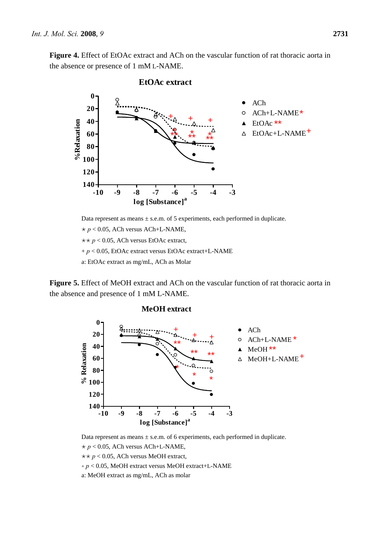**Figure 4.** Effect of EtOAc extract and ACh on the vascular function of rat thoracic aorta in the absence or presence of 1 mM L-NAME.



#### **EtOAc extract**

 $\star p$  < 0.05, ACh versus ACh+L-NAME,

 $\star \star p < 0.05$ , ACh versus EtOAc extract,

+ *p* < 0.05, EtOAc extract versus EtOAc extract+L-NAME

a: EtOAc extract as mg/mL, ACh as Molar

**Figure 5.** Effect of MeOH extract and ACh on the vascular function of rat thoracic aorta in the absence and presence of 1 mM L-NAME.



#### **MeOH extract**

Data represent as means  $\pm$  s.e.m. of 6 experiments, each performed in duplicate.

 $* p < 0.05$ , ACh versus ACh+L-NAME,  $\star$ *\**  $p$  < 0.05, ACh versus MeOH extract,

+ *p* < 0.05, MeOH extract versus MeOH extract+L-NAME

a: MeOH extract as mg/mL, ACh as molar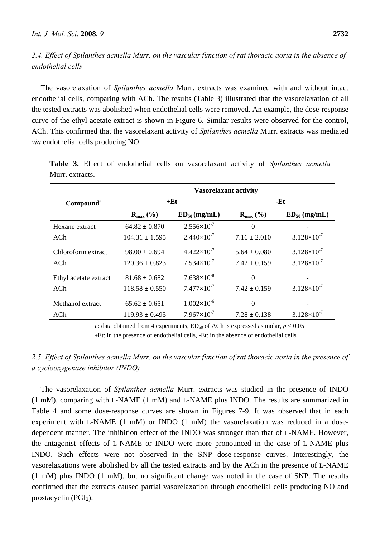*2.4. Effect of Spilanthes acmella Murr. on the vascular function of rat thoracic aorta in the absence of endothelial cells* 

The vasorelaxation of *Spilanthes acmella* Murr. extracts was examined with and without intact endothelial cells, comparing with ACh. The results (Table 3) illustrated that the vasorelaxation of all the tested extracts was abolished when endothelial cells were removed. An example, the dose-response curve of the ethyl acetate extract is shown in Figure 6. Similar results were observed for the control, ACh. This confirmed that the vasorelaxant activity of *Spilanthes acmella* Murr. extracts was mediated *via* endothelial cells producing NO.

|                       | <b>Vasorelaxant activity</b> |                      |                         |                      |  |
|-----------------------|------------------------------|----------------------|-------------------------|----------------------|--|
| Compound <sup>a</sup> |                              | $+Et$                | -Et                     |                      |  |
|                       | $\mathbf{R}_{\max}$ (%)      | $ED_{50}$ (mg/mL)    | $\mathbf{R}_{\max}$ (%) | $ED_{50}$ (mg/mL)    |  |
| Hexane extract        | $64.82 \pm 0.870$            | $2.556\times10^{-7}$ | $\theta$                |                      |  |
| ACh.                  | $104.31 + 1.595$             | $2.440\times10^{-7}$ | $7.16 + 2.010$          | $3.128\times10^{-7}$ |  |
| Chloroform extract    | $98.00 \pm 0.694$            | $4.422\times10^{-7}$ | $5.64 \pm 0.080$        | $3.128\times10^{-7}$ |  |
| ACh                   | $120.36 + 0.823$             | $7.534\times10^{-7}$ | $7.42 + 0.159$          | $3.128\times10^{-7}$ |  |
| Ethyl acetate extract | $81.68 + 0.682$              | $7.638\times10^{-8}$ | $\Omega$                |                      |  |
| ACh                   | $118.58 \pm 0.550$           | $7.477\times10^{-7}$ | $7.42 + 0.159$          | $3.128\times10^{-7}$ |  |
| Methanol extract      | $65.62 \pm 0.651$            | $1.002\times10^{-6}$ | $\Omega$                |                      |  |
| ACh                   | $119.93 \pm 0.495$           | $7.967\times10^{-7}$ | $7.28 \pm 0.138$        | $3.128\times10^{-7}$ |  |

**Table 3.** Effect of endothelial cells on vasorelaxant activity of *Spilanthes acmella* Murr. extracts.

a: data obtained from 4 experiments,  $ED_{50}$  of ACh is expressed as molar,  $p < 0.05$ 

+Et: in the presence of endothelial cells, -Et: in the absence of endothelial cells

# *2.5. Effect of Spilanthes acmella Murr. on the vascular function of rat thoracic aorta in the presence of a cyclooxygenase inhibitor (INDO)*

The vasorelaxation of *Spilanthes acmella* Murr. extracts was studied in the presence of INDO (1 mM), comparing with L-NAME (1 mM) and L-NAME plus INDO. The results are summarized in Table 4 and some dose-response curves are shown in Figures 7-9. It was observed that in each experiment with L-NAME (1 mM) or INDO (1 mM) the vasorelaxation was reduced in a dosedependent manner. The inhibition effect of the INDO was stronger than that of L-NAME. However, the antagonist effects of L-NAME or INDO were more pronounced in the case of L-NAME plus INDO. Such effects were not observed in the SNP dose-response curves. Interestingly, the vasorelaxations were abolished by all the tested extracts and by the ACh in the presence of L-NAME (1 mM) plus INDO (1 mM), but no significant change was noted in the case of SNP. The results confirmed that the extracts caused partial vasorelaxation through endothelial cells producing NO and prostacyclin  $(PGI<sub>2</sub>)$ .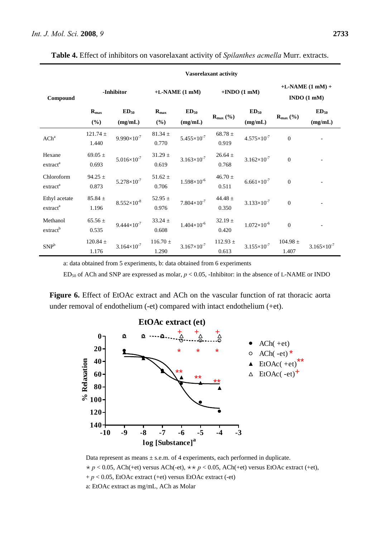|                                       | Vasorelaxant activity      |                        |                         |                        |                        |                        |                       |                                              |
|---------------------------------------|----------------------------|------------------------|-------------------------|------------------------|------------------------|------------------------|-----------------------|----------------------------------------------|
| Compound                              |                            | -Inhibitor             |                         | $+L-NAME(1 mM)$        |                        | $+I NDO(1 mM)$         |                       | $+L-NAME (1 mM) +$<br>INDO(1 <sub>m</sub> M) |
|                                       | $\mathbf{R}_{\max}$<br>(%) | $ED_{50}$<br>(mg/mL)   | $R_{\text{max}}$<br>(%) | $ED_{50}$<br>(mg/mL)   | $R_{max}$ (%)          | $ED_{50}$<br>(mg/mL)   | $R_{\text{max}}$ (%)  | $ED_{50}$<br>(mg/mL)                         |
| $ACh^a$                               | $121.74 \pm$<br>1.440      | $9.990\times10^{-7}$   | $81.34 \pm$<br>0.770    | $5.455 \times 10^{-7}$ | 68.78 $\pm$<br>0.919   | $4.575 \times 10^{-7}$ | $\Omega$              |                                              |
| Hexane<br>extract <sup>a</sup>        | 69.05 $\pm$<br>0.693       | $5.016\times10^{-7}$   | $31.29 \pm$<br>0.619    | $3.163\times10^{-7}$   | $26.64 \pm$<br>0.768   | $3.162\times10^{-7}$   | $\mathbf{0}$          |                                              |
| Chloroform<br>extract <sup>a</sup>    | $94.25 \pm$<br>0.873       | $5.278\times10^{-7}$   | $51.62 \pm$<br>0.706    | $1.598\times10^{-6}$   | $46.70$ $\pm$<br>0.511 | $6.661\times10^{-7}$   | $\overline{0}$        |                                              |
| Ethyl acetate<br>extract <sup>a</sup> | $85.84 \pm$<br>1.196       | $8.552\times10^{-8}$   | 52.95 $\pm$<br>0.976    | $7.804\times10^{-7}$   | 44.48 $\pm$<br>0.350   | $3.133 \times 10^{-7}$ | $\overline{0}$        |                                              |
| Methanol<br>extract <sup>b</sup>      | $65.56 \pm$<br>0.535       | $9.444 \times 10^{-7}$ | $33.24 \pm$<br>0.608    | $1.404\times10^{-6}$   | $32.19 \pm$<br>0.420   | $1.072\times10^{-6}$   | $\mathbf{0}$          |                                              |
| SNP <sup>b</sup>                      | $120.84 \pm$<br>1.176      | $3.164\times10^{-7}$   | $116.70 \pm$<br>1.290   | $3.167\times10^{-7}$   | $112.93 \pm$<br>0.613  | $3.155\times10^{-7}$   | $104.98 \pm$<br>1.407 | $3.165 \times 10^{-7}$                       |

**Table 4.** Effect of inhibitors on vasorelaxant activity of *Spilanthes acmella* Murr. extracts.

a: data obtained from 5 experiments, b: data obtained from 6 experiments

 $ED_{50}$  of ACh and SNP are expressed as molar,  $p < 0.05$ , -Inhibitor: in the absence of L-NAME or INDO

**Figure 6.** Effect of EtOAc extract and ACh on the vascular function of rat thoracic aorta under removal of endothelium (-et) compared with intact endothelium (+et).



Data represent as means  $\pm$  s.e.m. of 4 experiments, each performed in duplicate.  $\star p$  < 0.05, ACh(+et) versus ACh(-et),  $\star \star p$  < 0.05, ACh(+et) versus EtOAc extract (+et), + *p* < 0.05, EtOAc extract (+et) versus EtOAc extract (-et) a: EtOAc extract as mg/mL, ACh as Molar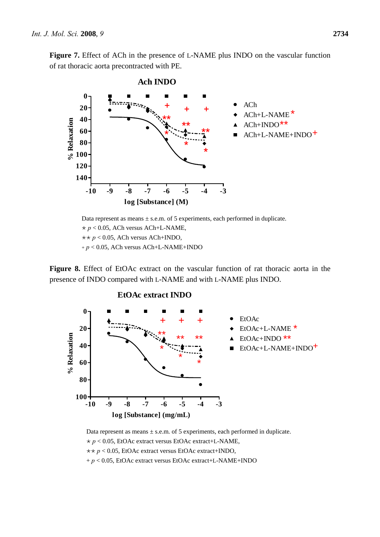**Figure 7.** Effect of ACh in the presence of L-NAME plus INDO on the vascular function of rat thoracic aorta precontracted with PE.



Data represent as means  $\pm$  s.e.m. of 5 experiments, each performed in duplicate.  $\star p < 0.05$ , ACh versus ACh+L-NAME,  $\star$ *+ p* < 0.05, ACh versus ACh+INDO, + *p* < 0.05, ACh versus ACh+L-NAME+INDO

**Figure 8.** Effect of EtOAc extract on the vascular function of rat thoracic aorta in the presence of INDO compared with L-NAME and with L-NAME plus INDO.



Data represent as means  $\pm$  s.e.m. of 5 experiments, each performed in duplicate.  $* p < 0.05$ , EtOAc extract versus EtOAc extract+L-NAME,  $\star$ *r*  $p$  < 0.05, EtOAc extract versus EtOAc extract+INDO, + *p* < 0.05, EtOAc extract versus EtOAc extract+L-NAME+INDO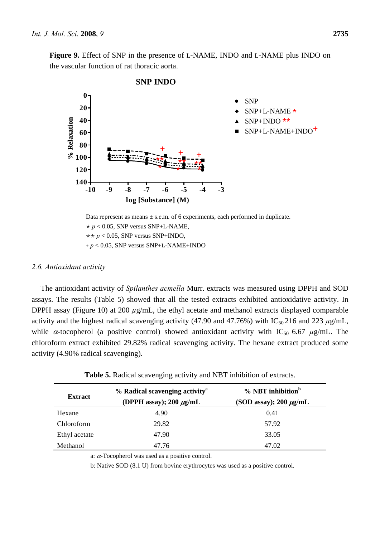**Figure 9.** Effect of SNP in the presence of L-NAME, INDO and L-NAME plus INDO on the vascular function of rat thoracic aorta.



 $\star \star p < 0.05$ , SNP versus SNP+INDO,

+ *p* < 0.05, SNP versus SNP+L-NAME+INDO

#### *2.6. Antioxidant activity*

The antioxidant activity of *Spilanthes acmella* Murr. extracts was measured using DPPH and SOD assays. The results (Table 5) showed that all the tested extracts exhibited antioxidative activity. In DPPH assay (Figure 10) at 200  $\mu$ g/mL, the ethyl acetate and methanol extracts displayed comparable activity and the highest radical scavenging activity (47.90 and 47.76%) with  $IC_{50}$  216 and 223  $\mu$ g/mL, while  $\alpha$ -tocopherol (a positive control) showed antioxidant activity with IC<sub>50</sub> 6.67  $\mu$ g/mL. The chloroform extract exhibited 29.82% radical scavenging activity. The hexane extract produced some activity (4.90% radical scavenging).

| <b>Extract</b> | % Radical scavenging activity <sup>a</sup><br>(DPPH assay); 200 $\mu$ g/mL | $%$ NBT inhibition <sup>b</sup><br>(SOD assay); $200 \mu g/mL$ |  |  |
|----------------|----------------------------------------------------------------------------|----------------------------------------------------------------|--|--|
| Hexane         | 4.90                                                                       | 0.41                                                           |  |  |
| Chloroform     | 29.82                                                                      | 57.92                                                          |  |  |
| Ethyl acetate  | 47.90                                                                      | 33.05                                                          |  |  |
| Methanol       | 47.76                                                                      | 47.02                                                          |  |  |

a: α-Tocopherol was used as a positive control.

b: Native SOD (8.1 U) from bovine erythrocytes was used as a positive control.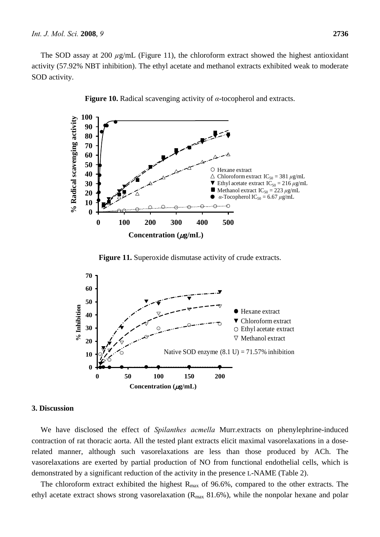The SOD assay at 200  $\mu$ g/mL (Figure 11), the chloroform extract showed the highest antioxidant activity (57.92% NBT inhibition). The ethyl acetate and methanol extracts exhibited weak to moderate SOD activity.





**Figure 11.** Superoxide dismutase activity of crude extracts.



#### **3. Discussion**

We have disclosed the effect of *Spilanthes acmella* Murr.extracts on phenylephrine-induced contraction of rat thoracic aorta. All the tested plant extracts elicit maximal vasorelaxations in a doserelated manner, although such vasorelaxations are less than those produced by ACh. The vasorelaxations are exerted by partial production of NO from functional endothelial cells, which is demonstrated by a significant reduction of the activity in the presence L-NAME (Table 2).

The chloroform extract exhibited the highest  $R_{\text{max}}$  of 96.6%, compared to the other extracts. The ethyl acetate extract shows strong vasorelaxation ( $R_{\text{max}}$  81.6%), while the nonpolar hexane and polar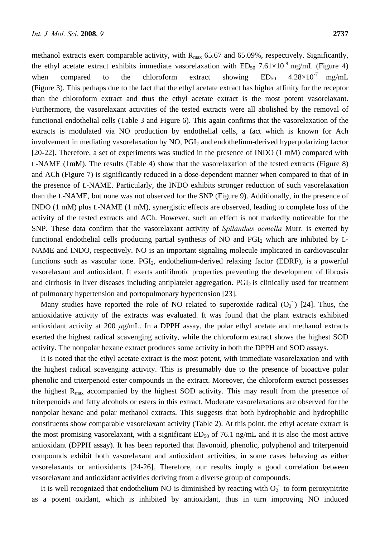methanol extracts exert comparable activity, with  $R_{\text{max}}$  65.67 and 65.09%, respectively. Significantly, the ethyl acetate extract exhibits immediate vasorelaxation with  $ED_{50}$  7.61×10<sup>-8</sup> mg/mL (Figure 4) when compared to the chloroform extract showing  $ED_{50}$  4.28×10<sup>-7</sup> mg/mL (Figure 3). This perhaps due to the fact that the ethyl acetate extract has higher affinity for the receptor than the chloroform extract and thus the ethyl acetate extract is the most potent vasorelaxant. Furthermore, the vasorelaxant activities of the tested extracts were all abolished by the removal of functional endothelial cells (Table 3 and Figure 6). This again confirms that the vasorelaxation of the extracts is modulated via NO production by endothelial cells, a fact which is known for Ach involvement in mediating vasorelaxation by NO, PGI<sub>2</sub> and endothelium-derived hyperpolarizing factor [20-22]. Therefore, a set of experiments was studied in the presence of INDO (1 mM) compared with L-NAME (1mM). The results (Table 4) show that the vasorelaxation of the tested extracts (Figure 8) and ACh (Figure 7) is significantly reduced in a dose-dependent manner when compared to that of in the presence of L-NAME. Particularly, the INDO exhibits stronger reduction of such vasorelaxation than the L-NAME, but none was not observed for the SNP (Figure 9). Additionally, in the presence of INDO (1 mM) plus L-NAME (1 mM), synergistic effects are observed, leading to complete loss of the activity of the tested extracts and ACh. However, such an effect is not markedly noticeable for the SNP. These data confirm that the vasorelaxant activity of *Spilanthes acmella* Murr. is exerted by functional endothelial cells producing partial synthesis of NO and PGI2 which are inhibited by L-NAME and INDO, respectively. NO is an important signaling molecule implicated in cardiovascular functions such as vascular tone. PGI<sub>2</sub>, endothelium-derived relaxing factor (EDRF), is a powerful vasorelaxant and antioxidant. It exerts antifibrotic properties preventing the development of fibrosis and cirrhosis in liver diseases including antiplatelet aggregation. PGI<sub>2</sub> is clinically used for treatment of pulmonary hypertension and portopulmonary hypertension [23].

Many studies have reported the role of NO related to superoxide radical  $(O_2)$  [24]. Thus, the antioxidative activity of the extracts was evaluated. It was found that the plant extracts exhibited antioxidant activity at 200 *µ*g/mL. In a DPPH assay, the polar ethyl acetate and methanol extracts exerted the highest radical scavenging activity, while the chloroform extract shows the highest SOD activity. The nonpolar hexane extract produces some activity in both the DPPH and SOD assays.

It is noted that the ethyl acetate extract is the most potent, with immediate vasorelaxation and with the highest radical scavenging activity. This is presumably due to the presence of bioactive polar phenolic and triterpenoid ester compounds in the extract. Moreover, the chloroform extract possesses the highest  $R_{\text{max}}$  accompanied by the highest SOD activity. This may result from the presence of triterpenoids and fatty alcohols or esters in this extract. Moderate vasorelaxations are observed for the nonpolar hexane and polar methanol extracts. This suggests that both hydrophobic and hydrophilic constituents show comparable vasorelaxant activity (Table 2). At this point, the ethyl acetate extract is the most promising vasorelaxant, with a significant  $ED_{50}$  of 76.1 ng/mL and it is also the most active antioxidant (DPPH assay). It has been reported that flavonoid, phenolic, polyphenol and triterpenoid compounds exhibit both vasorelaxant and antioxidant activities, in some cases behaving as either vasorelaxants or antioxidants [24-26]. Therefore, our results imply a good correlation between vasorelaxant and antioxidant activities deriving from a diverse group of compounds.

It is well recognized that endothelium NO is diminished by reacting with  $O_2$ <sup> $\cdot$ </sup> to form peroxynitrite as a potent oxidant, which is inhibited by antioxidant, thus in turn improving NO induced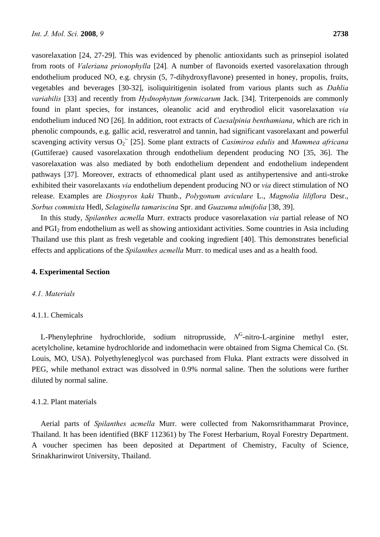vasorelaxation [24, 27-29]. This was evidenced by phenolic antioxidants such as prinsepiol isolated from roots of *Valeriana prionophylla* [24]*.* A number of flavonoids exerted vasorelaxation through endothelium produced NO, e.g. chrysin (5, 7-dihydroxyflavone) presented in honey, propolis, fruits, vegetables and beverages [30-32], isoliquiritigenin isolated from various plants such as *Dahlia variabilis* [33] and recently from *Hydnophytum formicarum* Jack. [34]. Triterpenoids are commonly found in plant species, for instances, oleanolic acid and erythrodiol elicit vasorelaxation *via* endothelium induced NO [26]. In addition, root extracts of *Caesalpinia benthamiana*, which are rich in phenolic compounds, e.g. gallic acid, resveratrol and tannin, had significant vasorelaxant and powerful scavenging activity versus O<sub>2</sub><sup>-</sup> [25]. Some plant extracts of *Casimiroa edulis* and *Mammea africana* (Guttiferae) caused vasorelaxation through endothelium dependent producing NO [35, 36]. The vasorelaxation was also mediated by both endothelium dependent and endothelium independent pathways [37]. Moreover, extracts of ethnomedical plant used as antihypertensive and anti-stroke exhibited their vasorelaxants *via* endothelium dependent producing NO or *via* direct stimulation of NO release. Examples are *Diospyros kaki* Thunb., *Polygonum aviculare* L., *Magnolia liliflora* Desr., *Sorbus commixta* Hedl, *Selaginella tamariscina* Spr. and *Guazuma ulmifolia* [38, 39].

In this study, *Spilanthes acmella* Murr. extracts produce vasorelaxation *via* partial release of NO and PGI2 from endothelium as well as showing antioxidant activities. Some countries in Asia including Thailand use this plant as fresh vegetable and cooking ingredient [40]. This demonstrates beneficial effects and applications of the *Spilanthes acmella* Murr. to medical uses and as a health food.

# **4. Experimental Section**

## *4.1. Materials*

#### 4.1.1. Chemicals

L-Phenylephrine hydrochloride, sodium nitroprusside,  $N<sup>G</sup>$ -nitro-L-arginine methyl ester, acetylcholine, ketamine hydrochloride and indomethacin were obtained from Sigma Chemical Co. (St. Louis, MO, USA). Polyethyleneglycol was purchased from Fluka. Plant extracts were dissolved in PEG, while methanol extract was dissolved in 0.9% normal saline. Then the solutions were further diluted by normal saline.

# 4.1.2. Plant materials

Aerial parts of *Spilanthes acmella* Murr. were collected from Nakornsrithammarat Province, Thailand. It has been identified (BKF 112361) by The Forest Herbarium, Royal Forestry Department. A voucher specimen has been deposited at Department of Chemistry, Faculty of Science, Srinakharinwirot University, Thailand.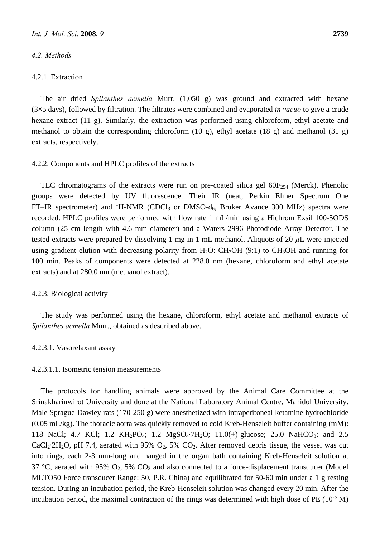# *4.2. Methods*

#### 4.2.1. Extraction

The air dried *Spilanthes acmella* Murr. (1,050 g) was ground and extracted with hexane (3**×**5 days), followed by filtration. The filtrates were combined and evaporated *in vacuo* to give a crude hexane extract (11 g). Similarly, the extraction was performed using chloroform, ethyl acetate and methanol to obtain the corresponding chloroform (10 g), ethyl acetate (18 g) and methanol (31 g) extracts, respectively.

# 4.2.2. Components and HPLC profiles of the extracts

TLC chromatograms of the extracts were run on pre-coated silica gel  $60F_{254}$  (Merck). Phenolic groups were detected by UV fluorescence. Their IR (neat, Perkin Elmer Spectrum One FT-IR spectrometer) and <sup>1</sup>H-NMR (CDCl<sub>3</sub> or DMSO-d<sub>6</sub>, Bruker Avance 300 MHz) spectra were recorded. HPLC profiles were performed with flow rate 1 mL/min using a Hichrom Exsil 100-5ODS column (25 cm length with 4.6 mm diameter) and a Waters 2996 Photodiode Array Detector. The tested extracts were prepared by dissolving 1 mg in 1 mL methanol. Aliquots of 20 *µ*L were injected using gradient elution with decreasing polarity from  $H_2O$ :  $CH_3OH$  (9:1) to  $CH_3OH$  and running for 100 min. Peaks of components were detected at 228.0 nm (hexane, chloroform and ethyl acetate extracts) and at 280.0 nm (methanol extract).

#### 4.2.3. Biological activity

The study was performed using the hexane, chloroform, ethyl acetate and methanol extracts of *Spilanthes acmella* Murr., obtained as described above.

#### 4.2.3.1. Vasorelaxant assay

#### 4.2.3.1.1. Isometric tension measurements

The protocols for handling animals were approved by the Animal Care Committee at the Srinakharinwirot University and done at the National Laboratory Animal Centre, Mahidol University. Male Sprague-Dawley rats (170-250 g) were anesthetized with intraperitoneal ketamine hydrochloride (0.05 mL/kg). The thoracic aorta was quickly removed to cold Kreb-Henseleit buffer containing (mM): 118 NaCl; 4.7 KCl; 1.2 KH<sub>2</sub>PO<sub>4</sub>; 1.2 MgSO<sub>4</sub>·7H<sub>2</sub>O; 11.0(+)-glucose; 25.0 NaHCO<sub>3</sub>; and 2.5  $CaCl<sub>2</sub>·2H<sub>2</sub>O$ , pH 7.4, aerated with 95%  $O<sub>2</sub>$ , 5%  $CO<sub>2</sub>$ . After removed debris tissue, the vessel was cut into rings, each 2-3 mm-long and hanged in the organ bath containing Kreb-Henseleit solution at 37 °C, aerated with 95%  $O_2$ , 5%  $CO_2$  and also connected to a force-displacement transducer (Model MLTO50 Force transducer Range: 50, P.R. China) and equilibrated for 50-60 min under a 1 g resting tension. During an incubation period, the Kreb-Henseleit solution was changed every 20 min. After the incubation period, the maximal contraction of the rings was determined with high dose of PE ( $10^{-5}$  M)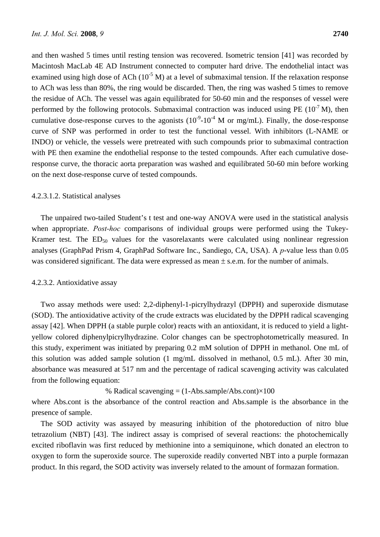and then washed 5 times until resting tension was recovered. Isometric tension [41] was recorded by Macintosh MacLab 4E AD Instrument connected to computer hard drive. The endothelial intact was examined using high dose of ACh  $(10^{-5}$  M) at a level of submaximal tension. If the relaxation response to ACh was less than 80%, the ring would be discarded. Then, the ring was washed 5 times to remove the residue of ACh. The vessel was again equilibrated for 50-60 min and the responses of vessel were performed by the following protocols. Submaximal contraction was induced using PE  $(10^7 M)$ , then cumulative dose-response curves to the agonists  $(10^{-9} - 10^{-4} \text{ M or mg/mL})$ . Finally, the dose-response curve of SNP was performed in order to test the functional vessel. With inhibitors (L-NAME or INDO) or vehicle, the vessels were pretreated with such compounds prior to submaximal contraction with PE then examine the endothelial response to the tested compounds. After each cumulative doseresponse curve, the thoracic aorta preparation was washed and equilibrated 50-60 min before working on the next dose-response curve of tested compounds.

#### 4.2.3.1.2. Statistical analyses

The unpaired two-tailed Student's t test and one-way ANOVA were used in the statistical analysis when appropriate. *Post-hoc* comparisons of individual groups were performed using the Tukey-Kramer test. The  $ED_{50}$  values for the vasorelaxants were calculated using nonlinear regression analyses (GraphPad Prism 4, GraphPad Software Inc., Sandiego, CA, USA). A *p*-value less than 0.05 was considered significant. The data were expressed as mean  $\pm$  s.e.m. for the number of animals.

#### 4.2.3.2. Antioxidative assay

Two assay methods were used: 2,2-diphenyl-1-picrylhydrazyl (DPPH) and superoxide dismutase (SOD). The antioxidative activity of the crude extracts was elucidated by the DPPH radical scavenging assay [42]. When DPPH (a stable purple color) reacts with an antioxidant, it is reduced to yield a lightyellow colored diphenylpicrylhydrazine. Color changes can be spectrophotometrically measured. In this study, experiment was initiated by preparing 0.2 mM solution of DPPH in methanol. One mL of this solution was added sample solution (1 mg/mL dissolved in methanol, 0.5 mL). After 30 min, absorbance was measured at 517 nm and the percentage of radical scavenging activity was calculated from the following equation:

## % Radical scavenging  $= (1 - Abs.sumle/Abs.cont) \times 100$

where Abs.cont is the absorbance of the control reaction and Abs.sample is the absorbance in the presence of sample.

The SOD activity was assayed by measuring inhibition of the photoreduction of nitro blue tetrazolium (NBT) [43]. The indirect assay is comprised of several reactions: the photochemically excited riboflavin was first reduced by methionine into a semiquinone, which donated an electron to oxygen to form the superoxide source. The superoxide readily converted NBT into a purple formazan product. In this regard, the SOD activity was inversely related to the amount of formazan formation.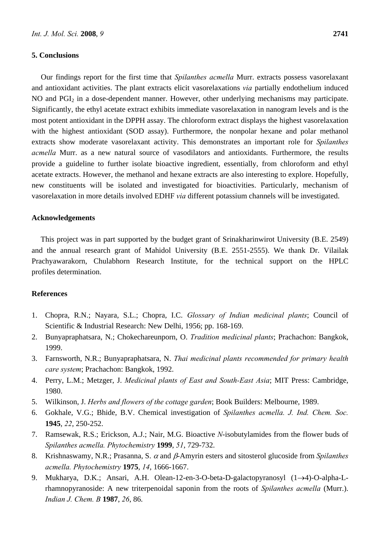#### **5. Conclusions**

Our findings report for the first time that *Spilanthes acmella* Murr. extracts possess vasorelaxant and antioxidant activities. The plant extracts elicit vasorelaxations *via* partially endothelium induced NO and PGI<sub>2</sub> in a dose-dependent manner. However, other underlying mechanisms may participate. Significantly, the ethyl acetate extract exhibits immediate vasorelaxation in nanogram levels and is the most potent antioxidant in the DPPH assay. The chloroform extract displays the highest vasorelaxation with the highest antioxidant (SOD assay). Furthermore, the nonpolar hexane and polar methanol extracts show moderate vasorelaxant activity. This demonstrates an important role for *Spilanthes acmella* Murr. as a new natural source of vasodilators and antioxidants. Furthermore, the results provide a guideline to further isolate bioactive ingredient, essentially, from chloroform and ethyl acetate extracts. However, the methanol and hexane extracts are also interesting to explore. Hopefully, new constituents will be isolated and investigated for bioactivities. Particularly, mechanism of vasorelaxation in more details involved EDHF *via* different potassium channels will be investigated.

#### **Acknowledgements**

This project was in part supported by the budget grant of Srinakharinwirot University (B.E. 2549) and the annual research grant of Mahidol University (B.E. 2551-2555). We thank Dr. Vilailak Prachyawarakorn, Chulabhorn Research Institute, for the technical support on the HPLC profiles determination.

#### **References**

- 1. Chopra, R.N.; Nayara, S.L.; Chopra, I.C. *Glossary of Indian medicinal plants*; Council of Scientific & Industrial Research: New Delhi, 1956; pp. 168-169.
- 2. Bunyapraphatsara, N.; Chokechareunporn, O. *Tradition medicinal plants*; Prachachon: Bangkok, 1999.
- 3. Farnsworth, N.R.; Bunyapraphatsara, N. *Thai medicinal plants recommended for primary health care system*; Prachachon: Bangkok, 1992.
- 4. Perry, L.M.; Metzger, J. *Medicinal plants of East and South-East Asia*; MIT Press: Cambridge, 1980.
- 5. Wilkinson, J. *Herbs and flowers of the cottage garden*; Book Builders: Melbourne, 1989.
- 6. Gokhale, V.G.; Bhide, B.V. Chemical investigation of *Spilanthes acmella. J. Ind. Chem. Soc.* **1945**, *22*, 250-252.
- 7. Ramsewak, R.S.; Erickson, A.J.; Nair, M.G. Bioactive *N*-isobutylamides from the flower buds of *Spilanthes acmella. Phytochemistry* **1999**, *51*, 729-732.
- 8. Krishnaswamy, N.R.; Prasanna, S. α and β-Amyrin esters and sitosterol glucoside from *Spilanthes acmella. Phytochemistry* **1975**, *14*, 1666-1667.
- 9. Mukharya, D.K.; Ansari, A.H. Olean-12-en-3-O-beta-D-galactopyranosyl (1→4)-O-alpha-Lrhamnopyranoside: A new triterpenoidal saponin from the roots of *Spilanthes acmella* (Murr.). *Indian J. Chem. B* **1987**, *26*, 86.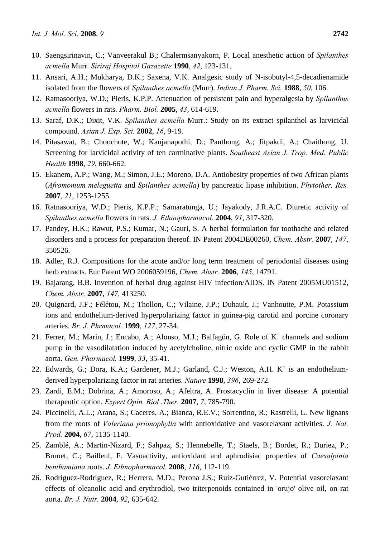- 10. Saengsirinavin, C.; Vanveerakul B.; Chalermsanyakorn, P. Local anesthetic action of *Spilanthes acmella* Murr. *Siriraj Hospital Gazazette* **1990**, *42*, 123-131.
- 11. Ansari, A.H.; Mukharya, D.K.; Saxena, V.K. Analgesic study of N-isobutyl-4,5-decadienamide isolated from the flowers of *Spilanthes acmella* (Murr). *Indian J. Pharm. Sci.* **1988**, *50*, 106.
- 12. Ratnasooriya, W.D.; Pieris, K.P.P. Attenuation of persistent pain and hyperalgesia by *Spilanthus acmella* flowers in rats. *Pharm. Biol.* **2005**, *43*, 614-619.
- 13. Saraf, D.K.; Dixit, V.K. *Spilanthes acmella* Murr.: Study on its extract spilanthol as larvicidal compound. *Asian J. Exp. Sci.* **2002**, *16*, 9-19.
- 14. Pitasawat, B.; Choochote, W.; Kanjanapothi, D.; Panthong, A.; Jitpakdi, A.; Chaithong, U. Screening for larvicidal activity of ten carminative plants. *Southeast Asian J. Trop. Med. Public Health* **1998**, *29*, 660-662.
- 15. Ekanem, A.P.; Wang, M.; Simon, J.E.; Moreno, D.A. Antiobesity properties of two African plants (*Afromomum meleguetta* and *Spilanthes acmella*) by pancreatic lipase inhibition. *Phytother. Res.* **2007**, *21*, 1253-1255.
- 16. Ratnasooriya, W.D.; Pieris, K.P.P.; Samaratunga, U.; Jayakody, J.R.A.C. Diuretic activity of *Spilanthes acmella* flowers in rats. *J. Ethnopharmacol.* **2004**, *91*, 317-320.
- 17. Pandey, H.K.; Rawut, P.S.; Kumar, N.; Gauri, S. A herbal formulation for toothache and related disorders and a process for preparation thereof. IN Patent 2004DE00260, *Chem. Abstr.* **2007**, *147*, 350526.
- 18. Adler, R.J. Compositions for the acute and/or long term treatment of periodontal diseases using herb extracts. Eur Patent WO 2006059196, *Chem. Abstr.* **2006**, *145*, 14791.
- 19. Bajarang, B.B. Invention of herbal drug against HIV infection/AIDS. IN Patent 2005MU01512, *Chem. Abstr.* **2007**, *147*, 413250.
- 20. Quignard, J.F.; Félétou, M.; Thollon, C.; Vilaine, J.P.; Duhault, J.; Vanhoutte, P.M. Potassium ions and endothelium-derived hyperpolarizing factor in guinea-pig carotid and porcine coronary arteries. *Br. J. Phrmacol.* **1999**, *127*, 27-34.
- 21. Ferrer, M.; Marin, J.; Encabo, A.; Alonso, M.J.; Balfagón, G. Role of K<sup>+</sup> channels and sodium pump in the vasodilatation induced by acetylcholine, nitric oxide and cyclic GMP in the rabbit aorta. *Gen. Pharmacol.* **1999**, *33*, 35-41.
- 22. Edwards, G.; Dora, K.A.; Gardener, M.J.; Garland, C.J.; Weston, A.H. K<sup>+</sup> is an endotheliumderived hyperpolarizing factor in rat arteries. *Nature* **1998**, *396*, 269-272.
- 23. Zardi, E.M.; Dobrina, A.; Amoroso, A.; Afeltra, A. Prostacyclin in liver disease: A potential therapeutic option. *Expert Opin. Biol .Ther.* **2007**, *7*, 785-790.
- 24. Piccinelli, A.L.; Arana, S.; Caceres, A.; Bianca, R.E.V.; Sorrentino, R.; Rastrelli, L. New lignans from the roots of *Valeriana prionophylla* with antioxidative and vasorelaxant activities. *J. Nat. Prod.* **2004**, *67*, 1135-1140.
- 25. Zamblé, A.; Martin-Nizard, F.; Sahpaz, S.; Hennebelle, T.; Staels, B.; Bordet, R.; Duriez, P.; Brunet, C.; Bailleul, F. Vasoactivity, antioxidant and aphrodisiac properties of *Caesalpinia benthamiana* roots. *J. Ethnopharmacol.* **2008**, *116*, 112-119.
- 26. Rodríguez-Rodríguez, R.; Herrera, M.D.; Perona J.S.; Ruiz-Gutiérrez, V. Potential vasorelaxant effects of oleanolic acid and erythrodiol, two triterpenoids contained in 'orujo' olive oil, on rat aorta. *Br. J. Nutr.* **2004**, *92*, 635-642.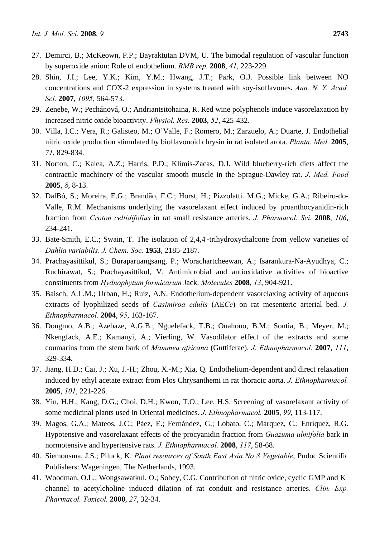- 27. Demirci, B.; McKeown, P.P.; Bayraktutan DVM, U. The bimodal regulation of vascular function by superoxide anion: Role of endothelium. *BMB rep.* **2008**, *41*, 223-229.
- 28. Shin, J.I.; Lee, Y.K.; Kim, Y.M.; Hwang, J.T.; Park, O.J. Possible link between NO concentrations and COX-2 expression in systems treated with soy-isoflavones**.** *Ann. N. Y. Acad. Sci.* **2007**, *1095*, 564-573.
- 29. Zenebe, W.; Pechánová, O.; Andriantsitohaina, R. Red wine polyphenols induce vasorelaxation by increased nitric oxide bioactivity. *Physiol. Res.* **2003**, *52*, 425-432.
- 30. Villa, I.C.; Vera, R.; Galisteo, M.; O'Valle, F.; Romero, M.; Zarzuelo, A.; Duarte, J. Endothelial nitric oxide production stimulated by bioflavonoid chrysin in rat isolated arota. *Planta. Med.* **2005**, *71*, 829-834.
- 31. Norton, C.; Kalea, A.Z.; Harris, P.D.; Klimis-Zacas, D.J. Wild blueberry-rich diets affect the contractile machinery of the vascular smooth muscle in the Sprague-Dawley rat. *J. Med. Food* **2005**, *8*, 8-13.
- 32. DalBó, S.; Moreira, E.G.; Brandão, F.C.; Horst, H.; Pizzolatti. M.G.; Micke, G.A.; Ribeiro-do-Valle, R.M. Mechanisms underlying the vasorelaxant effect induced by proanthocyanidin-rich fraction from *Croton celtidifolius* in rat small resistance arteries. *J. Pharmacol. Sci.* **2008**, *106*, 234-241.
- 33. Bate-Smith, E.C.; Swain, T. The isolation of 2,4,4'-trihydroxychalcone from yellow varieties of *Dahlia variabilis*. *J. Chem. Soc.* **1953**, 2185-2187.
- 34. Prachayasittikul, S.; Buraparuangsang, P.; Worachartcheewan, A.; Isarankura-Na-Ayudhya, C.; Ruchirawat, S.; Prachayasittikul, V. Antimicrobial and antioxidative activities of bioactive constituents from *Hydnophytum formicarum* Jack. *Molecules* **2008**, *13*, 904-921.
- 35. Baisch, A.L.M.; Urban, H.; Ruiz, A.N. Endothelium-dependent vasorelaxing activity of aqueous extracts of lyophilized seeds of *Casimiroa edulis* (AE*Ce*) on rat mesenteric arterial bed. *J. Ethnopharmacol.* **2004**, *95*, 163-167.
- 36. Dongmo, A.B.; Azebaze, A.G.B.; Nguelefack, T.B.; Ouahouo, B.M.; Sontia, B.; Meyer, M.; Nkengfack, A.E.; Kamanyi, A.; Vierling, W. Vasodilator effect of the extracts and some coumarins from the stem bark of *Mammea africana* (Guttiferae). *J. Ethnopharmacol.* **2007**, *111*, 329-334.
- 37. Jiang, H.D.; Cai, J.; Xu, J.-H.; Zhou, X.-M.; Xia, Q. Endothelium-dependent and direct relaxation induced by ethyl acetate extract from Flos Chrysanthemi in rat thoracic aorta. *J. Ethnopharmacol.* **2005**, *101*, 221-226.
- 38. Yin, H.H.; Kang, D.G.; Choi, D.H.; Kwon, T.O.; Lee, H.S. Screening of vasorelaxant activity of some medicinal plants used in Oriental medicines. *J. Ethnopharmacol.* **2005**, *99*, 113-117.
- 39. Magos, G.A.; Mateos, J.C.; Páez, E.; Fernández, G.; Lobato, C.; Márquez, C.; Enríquez, R.G. Hypotensive and vasorelaxant effects of the procyanidin fraction from *Guazuma ulmifolia* bark in normotensive and hypertensive rats. *J. Ethnopharmacol.* **2008**, *117*, 58-68.
- 40. Siemonsma, J.S.; Piluck, K. *Plant resources of South East Asia No 8 Vegetable*; Pudoc Scientific Publishers: Wageningen, The Netherlands, 1993.
- 41. Woodman, O.L.; Wongsawatkul, O.; Sobey, C.G. Contribution of nitric oxide, cyclic GMP and K+ channel to acetylcholine induced dilation of rat conduit and resistance arteries. *Clin. Exp. Pharmacol. Toxicol.* **2000**, *27*, 32-34.